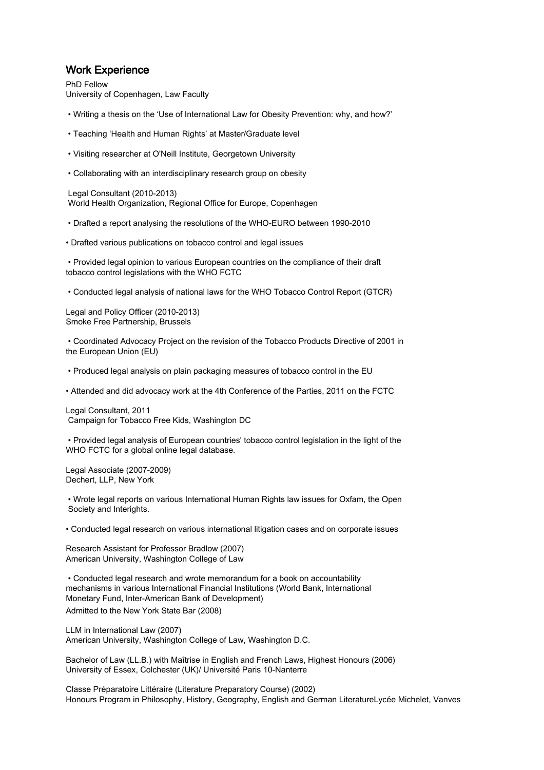### Work Experience

PhD Fellow University of Copenhagen, Law Faculty

- Writing a thesis on the 'Use of International Law for Obesity Prevention: why, and how?'
- Teaching 'Health and Human Rights' at Master/Graduate level
- Visiting researcher at O'Neill Institute, Georgetown University
- Collaborating with an interdisciplinary research group on obesity

 Legal Consultant (2010-2013) World Health Organization, Regional Office for Europe, Copenhagen

- Drafted a report analysing the resolutions of the WHO-EURO between 1990-2010
- Drafted various publications on tobacco control and legal issues

 • Provided legal opinion to various European countries on the compliance of their draft tobacco control legislations with the WHO FCTC

• Conducted legal analysis of national laws for the WHO Tobacco Control Report (GTCR)

Legal and Policy Officer (2010-2013) Smoke Free Partnership, Brussels

 • Coordinated Advocacy Project on the revision of the Tobacco Products Directive of 2001 in the European Union (EU)

• Produced legal analysis on plain packaging measures of tobacco control in the EU

• Attended and did advocacy work at the 4th Conference of the Parties, 2011 on the FCTC

Legal Consultant, 2011 Campaign for Tobacco Free Kids, Washington DC

 • Provided legal analysis of European countries' tobacco control legislation in the light of the WHO FCTC for a global online legal database.

Legal Associate (2007-2009) Dechert, LLP, New York

 • Wrote legal reports on various International Human Rights law issues for Oxfam, the Open Society and Interights.

• Conducted legal research on various international litigation cases and on corporate issues

Research Assistant for Professor Bradlow (2007) American University, Washington College of Law

 • Conducted legal research and wrote memorandum for a book on accountability mechanisms in various International Financial Institutions (World Bank, International Monetary Fund, Inter-American Bank of Development) Admitted to the New York State Bar (2008)

LLM in International Law (2007) American University, Washington College of Law, Washington D.C.

Bachelor of Law (LL.B.) with Maîtrise in English and French Laws, Highest Honours (2006) University of Essex, Colchester (UK)/ Université Paris 10-Nanterre

Classe Préparatoire Littéraire (Literature Preparatory Course) (2002) Honours Program in Philosophy, History, Geography, English and German LiteratureLycée Michelet, Vanves